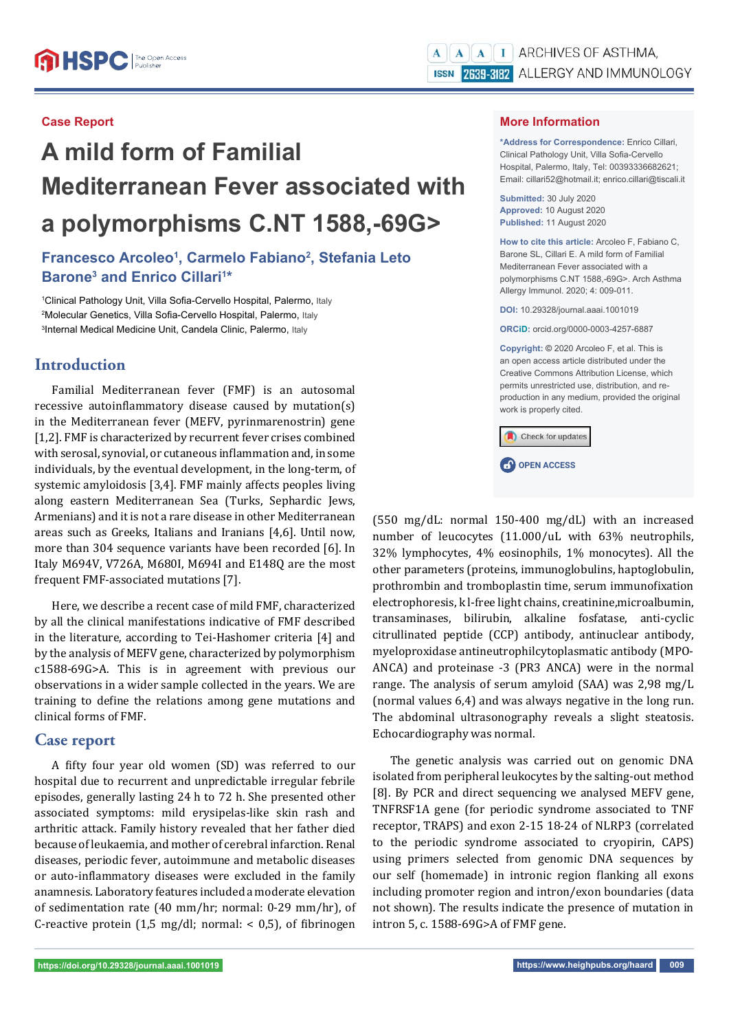# **A mild form of Familial Mediterranean Fever associated with a polymorphisms C.NT 1588,-69G>**

# **Francesco Arcoleo1 , Carmelo Fabiano2 , Stefania Leto**  Barone<sup>3</sup> and Enrico Cillari<sup>1\*</sup>

<sup>1</sup>Clinical Pathology Unit, Villa Sofia-Cervello Hospital, Palermo, Italy <sup>2</sup>Molecular Genetics, Villa Sofia-Cervello Hospital, Palermo, Italy <sup>3</sup>Internal Medical Medicine Unit, Candela Clinic, Palermo, Italy

# **Introduction**

Familial Mediterranean fever (FMF) is an autosomal recessive autoinflammatory disease caused by mutation(s) in the Mediterranean fever (MEFV, pyrinmarenostrin) gene [1,2]. FMF is characterized by recurrent fever crises combined with serosal, synovial, or cutaneous inflammation and, in some individuals, by the eventual development, in the long-term, of systemic amyloidosis [3,4]. FMF mainly affects peoples living along eastern Mediterranean Sea (Turks, Sephardic Jews, Armenians) and it is not a rare disease in other Mediterranean areas such as Greeks, Italians and Iranians [4,6]. Until now, more than 304 sequence variants have been recorded [6]. In Italy M694V, V726A, M680I, M694I and E148Q are the most frequent FMF-associated mutations [7].

Here, we describe a recent case of mild FMF, characterized by all the clinical manifestations indicative of FMF described in the literature, according to Tei-Hashomer criteria [4] and by the analysis of MEFV gene, characterized by polymorphism c1588-69G>A. This is in agreement with previous our observations in a wider sample collected in the years. We are training to define the relations among gene mutations and clinical forms of FMF.

# **Case report**

A fifty four year old women (SD) was referred to our hospital due to recurrent and unpredictable irregular febrile episodes, generally lasting 24 h to 72 h. She presented other associated symptoms: mild erysipelas-like skin rash and arthritic attack. Family history revealed that her father died because of leukaemia, and mother of cerebral infarction. Renal diseases, periodic fever, autoimmune and metabolic diseases or auto-inflammatory diseases were excluded in the family anamnesis. Laboratory features included a moderate elevation of sedimentation rate (40 mm/hr; normal: 0-29 mm/hr), of C-reactive protein (1,5 mg/dl; normal:  $<$  0,5), of fibrinogen

## **More Information**

**\*Address for Correspondence:** Enrico Cillari, Clinical Pathology Unit, Villa Sofia-Cervello Hospital, Palermo, Italy, Tel: 00393336682621; Email: cillari52@hotmail.it; enrico.cillari@tiscali.it

**Submitted:** 30 July 2020 **Approved:** 10 August 2020 **Published:** 11 August 2020

**How to cite this article:** Arcoleo F, Fabiano C, Barone SL, Cillari E. A mild form of Familial Mediterranean Fever associated with a polymorphisms C.NT 1588,-69G>. Arch Asthma Allergy Immunol. 2020; 4: 009-011.

**DOI:** 10.29328/journal.aaai.1001019

**ORCiD:** orcid.org/0000-0003-4257-6887

**Copyright: ©** 2020 Arcoleo F, et al. This is an open access article distributed under the Creative Commons Attribution License, which permits unrestricted use, distribution, and reproduction in any medium, provided the original work is properly cited.

Check for updates

**CP** OPEN ACCESS

(550 mg/dL: normal 150-400 mg/dL) with an increased number of leucocytes (11.000/uL with 63% neutrophils, 32% lymphocytes, 4% eosinophils, 1% monocytes). All the other parameters (proteins, immunoglobulins, haptoglobulin, prothrombin and tromboplastin time, serum immunofixation electrophoresis, k l-free light chains, creatinine,microalbumin, transaminases, bilirubin, alkaline fosfatase, anti-cyclic citrullinated peptide (CCP) antibody, antinuclear antibody, myeloproxidase antineutrophilcytoplasmatic antibody (MPO-ANCA) and proteinase -3 (PR3 ANCA) were in the normal range. The analysis of serum amyloid (SAA) was 2,98 mg/L (normal values 6,4) and was always negative in the long run. The abdominal ultrasonography reveals a slight steatosis. Echocardiography was normal.

The genetic analysis was carried out on genomic DNA isolated from peripheral leukocytes by the salting-out method [8]. By PCR and direct sequencing we analysed MEFV gene, TNFRSF1A gene (for periodic syndrome associated to TNF receptor, TRAPS) and exon 2-15 18-24 of NLRP3 (correlated to the periodic syndrome associated to cryopirin, CAPS) using primers selected from genomic DNA sequences by our self (homemade) in intronic region flanking all exons including promoter region and intron/exon boundaries (data not shown). The results indicate the presence of mutation in intron 5, c. 1588-69G>A of FMF gene.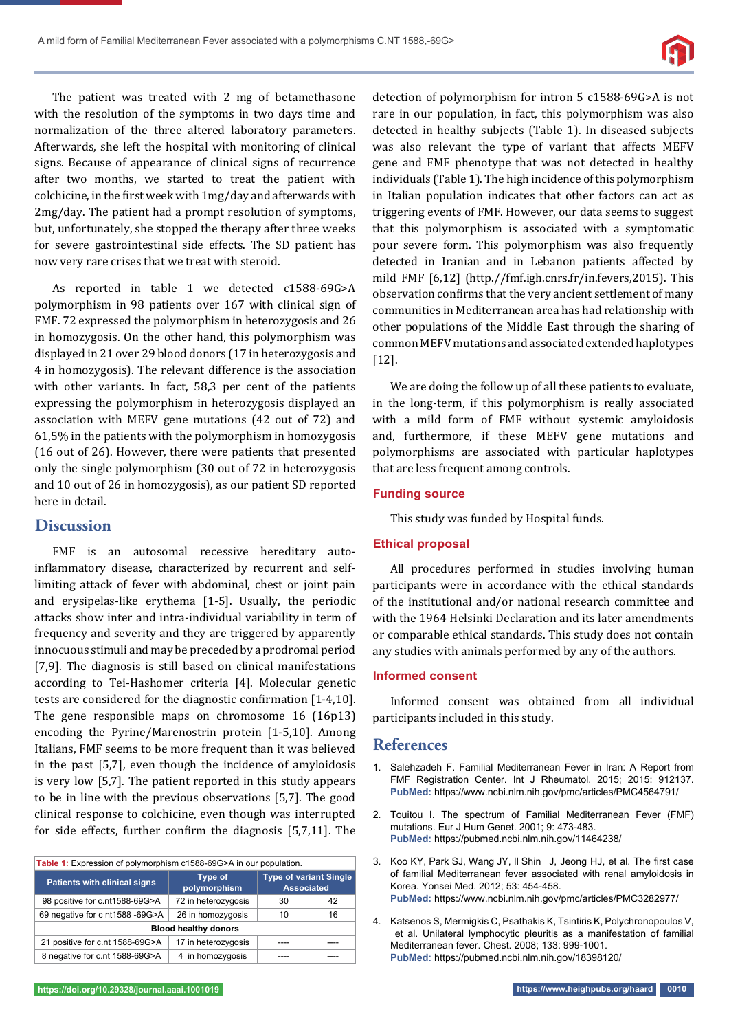

The patient was treated with 2 mg of betamethasone with the resolution of the symptoms in two days time and normalization of the three altered laboratory parameters. Afterwards, she left the hospital with monitoring of clinical signs. Because of appearance of clinical signs of recurrence after two months, we started to treat the patient with colchicine, in the first week with 1mg/day and afterwards with 2mg/day. The patient had a prompt resolution of symptoms, but, unfortunately, she stopped the therapy after three weeks for severe gastrointestinal side effects. The SD patient has now very rare crises that we treat with steroid.

As reported in table 1 we detected c1588-69G>A polymorphism in 98 patients over 167 with clinical sign of FMF. 72 expressed the polymorphism in heterozygosis and 26 in homozygosis. On the other hand, this polymorphism was displayed in 21 over 29 blood donors (17 in heterozygosis and 4 in homozygosis). The relevant difference is the association with other variants. In fact, 58,3 per cent of the patients expressing the polymorphism in heterozygosis displayed an association with MEFV gene mutations (42 out of 72) and 61,5% in the patients with the polymorphism in homozygosis (16 out of 26). However, there were patients that presented only the single polymorphism (30 out of 72 in heterozygosis and 10 out of 26 in homozygosis), as our patient SD reported here in detail.

## **Discussion**

FMF is an autosomal recessive hereditary autoinflammatory disease, characterized by recurrent and selflimiting attack of fever with abdominal, chest or joint pain and erysipelas-like erythema [1-5]. Usually, the periodic attacks show inter and intra-individual variability in term of frequency and severity and they are triggered by apparently innocuous stimuli and may be preceded by a prodromal period [7,9]. The diagnosis is still based on clinical manifestations according to Tei-Hashomer criteria [4]. Molecular genetic tests are considered for the diagnostic confirmation  $[1-4,10]$ . The gene responsible maps on chromosome 16 (16p13) encoding the Pyrine/Marenostrin protein [1-5,10]. Among Italians, FMF seems to be more frequent than it was believed in the past [5,7], even though the incidence of amyloidosis is very low [5,7]. The patient reported in this study appears to be in line with the previous observations [5,7]. The good clinical response to colchicine, even though was interrupted for side effects, further confirm the diagnosis  $[5,7,11]$ . The

| Table 1: Expression of polymorphism c1588-69G>A in our population. |                                |                                                    |    |
|--------------------------------------------------------------------|--------------------------------|----------------------------------------------------|----|
| <b>Patients with clinical signs</b>                                | <b>Type of</b><br>polymorphism | <b>Type of variant Single</b><br><b>Associated</b> |    |
| 98 positive for c.nt1588-69G>A                                     | 72 in heterozygosis            | 30                                                 | 42 |
| 69 negative for c nt1588 -69G>A                                    | 26 in homozygosis              | 10                                                 | 16 |
| <b>Blood healthy donors</b>                                        |                                |                                                    |    |
| 21 positive for c.nt 1588-69G>A                                    | 17 in heterozygosis            |                                                    |    |
| 8 negative for c.nt 1588-69G>A                                     | 4 in homozygosis               |                                                    |    |

detection of polymorphism for intron 5 c1588-69G>A is not rare in our population, in fact, this polymorphism was also detected in healthy subjects (Table 1). In diseased subjects was also relevant the type of variant that affects MEFV gene and FMF phenotype that was not detected in healthy individuals (Table 1). The high incidence of this polymorphism in Italian population indicates that other factors can act as triggering events of FMF. However, our data seems to suggest that this polymorphism is associated with a symptomatic pour severe form. This polymorphism was also frequently detected in Iranian and in Lebanon patients affected by mild FMF [6,12] (http.//fmf.igh.cnrs.fr/in.fevers,2015). This observation confirms that the very ancient settlement of many communities in Mediterranean area has had relationship with other populations of the Middle East through the sharing of common MEFV mutations and associated extended haplotypes [12].

We are doing the follow up of all these patients to evaluate, in the long-term, if this polymorphism is really associated with a mild form of FMF without systemic amyloidosis and, furthermore, if these MEFV gene mutations and polymorphisms are associated with particular haplotypes that are less frequent among controls.

#### **Funding source**

This study was funded by Hospital funds.

### **Ethical proposal**

All procedures performed in studies involving human participants were in accordance with the ethical standards of the institutional and/or national research committee and with the 1964 Helsinki Declaration and its later amendments or comparable ethical standards. This study does not contain any studies with animals performed by any of the authors.

#### **Informed consent**

Informed consent was obtained from all individual participants included in this study.

#### **References**

- 1. Salehzadeh F. Familial Mediterranean Fever in Iran: A Report from FMF Registration Center. Int J Rheumatol. 2015; 2015: 912137. **PubMed:** https://www.ncbi.nlm.nih.gov/pmc/articles/PMC4564791/
- 2. Touitou I. The spectrum of Familial Mediterranean Fever (FMF) mutations. Eur J Hum Genet. 2001; 9: 473-483. **PubMed:** https://pubmed.ncbi.nlm.nih.gov/11464238/
- 3. Koo KY, Park SJ, Wang JY, Il Shin J, Jeong HJ, et al. The first case of familial Mediterranean fever associated with renal amyloidosis in Korea. Yonsei Med. 2012; 53: 454-458. **PubMed:** https://www.ncbi.nlm.nih.gov/pmc/articles/PMC3282977/
- 4. Katsenos S, Mermigkis C, Psathakis K, Tsintiris K, Polychronopoulos V, et al. Unilateral lymphocytic pleuritis as a manifestation of familial Mediterranean fever. Chest. 2008; 133: 999-1001. **PubMed:** https://pubmed.ncbi.nlm.nih.gov/18398120/